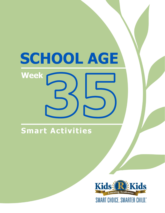Smart Activities

**Week** 

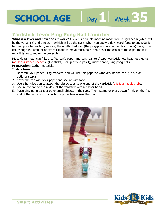# Day 1 **Week 35**

# **Yardstick Lever Ping Pong Ball Launcher**

apply a downward force to one sk<br>ng balls in the plastic cups) flying<br>loser the can is to the cups, the le **What is a lever and how does it work?** A lever is a simple machine made from a rigid beam (which will be the yardstick) and a fulcrum (which will be the can). When you apply a downward force to one side, it has an opposite reaction, sending the unattached load (the ping-pong balls in the plastic cups) flying. You can change the amount of effort it takes to move those balls: the closer the can is to the cups, the less work it takes to move the projectiles.

**Materials:** metal can (like a coffee can), paper, markers, painters' tape, yardstick, low heat hot glue gun (adult assistance needed), glue sticks, 9 oz. plastic cups (4), rubber band, ping pong balls **Preparation:** Gather materials.

### **Instructions:**

- 1. Decorate your paper using markers. You will use this paper to wrap around the can. (This is an optional step.)
- 2. Cover the can with your paper and secure with tape.
- 3. Use a hot glue gun to attach the plastic cups to one end of the yardstick (this is an adult's job).
- 4. Secure the can to the middle of the yardstick with a rubber band.
- 5. Place ping pong balls or other small objects in the cups. Then, stomp or press down firmly on the free end of the yardstick to launch the projectiles across the room.



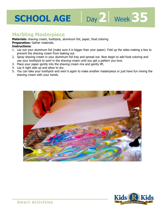# **Marbling Masterpiece**

**Materials:** shaving cream, toothpick, aluminum foil, paper, food coloring

#### **Preparation:** Gather materials.

#### **Instructions:**

per). Fold up the sides making a l 1. Lay out your aluminum foil (make sure it is bigger than your paper). Fold up the sides making a box to prevent the shaving cream from leaking out.

Day 2 Week 35

- 2. Spray shaving cream in your aluminum foil tray and spread out. Now begin to add food coloring and use your toothpick to swirl in the shaving cream until you get a pattern you love.
- 3. Place your paper gently into the shaving cream mix and gently lift.
- 4. Lay it right side up and allow to dry.
- 5. You can take your toothpick and swirl it again to make another masterpiece or just have fun mixing the shaving cream with your hands.



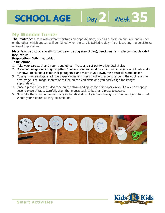# **My Wonder Turner**

**Thaumatrope:** a card with different pictures on opposite sides, such as a horse on one side and a rider on the other, which appear as if combined when the card is twirled rapidly, thus illustrating the persistence of visual impressions.

Day 2 | Week 35

rapidly, thus indstrating the persi<br>encil, markers, scissors, double si **Materials:** cardstock, something round (for tracing even circles), pencil, markers, scissors, double sided tape, straws

**Preparation:** Gather materials.

### **Instructions:**

- 1. Take your cardstock and your round object. Trace and cut out two identical circles.
- 2. Draw two images which "go together." Some examples could be a bird and a cage or a goldfish and a fishbowl. Think about items that go together and make it your own, the possibilities are endless.
- 3. To align the drawings, stack the paper circles and press hard with a pencil around the outline of the first image. The image impression will be on the 2nd circle and you easily align the images appropriately.
- 4. Place a piece of double-sided tape on the straw and apply the first paper circle. Flip over and apply second piece of tape. Carefully align the images back-to-back and press to secure.
- 5. Now take the straw in the palm of your hands and rub together causing the thaumatrope to turn fast. Watch your pictures as they become one.



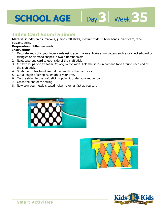# **Index Card Sound Spinner**

**Materials:** index cards, markers, jumbo craft sticks, medium width rubber bands, craft foam, tape, scissors, string

#### **Preparation:** Gather materials.

#### **Instructions:**

- scissors, sunig<br>**Preparation:** Gather materials.<br>**Instructions:**<br>1. Decorate and color your index cards using your markers. Make a fun pattern such as a checkerboard or triangles or diamond shapes in two different colors.
- 2. Next, tape one card to each side of the craft stick.
- 3. Cut two strips of craft foam, 4" long by ½" wide. Fold the strips in half and tape around each end of the craft stick.
- 4. Stretch a rubber band around the length of the craft stick.
- 5. Cut a length of string ¾ length of your arm.
- 6. Tie the string to the craft stick, slipping it under your rubber band.
- 7. Grasp the end of the string.
- 8. Now spin your newly created noise maker as fast as you can.





Day 3 | Week 35

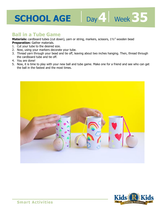# **5CHOOL AGE** Day Week 35

### **Ball in a Tube Game**

**Materials:** cardboard tubes (cut down), yarn or string, markers, scissors, 1½" wooden bead **Preparation:** Gather materials.

- 1. Cut your tube to the desired size.
- 2. Now, using your markers decorate your tube.
- **Preparation:** Gather matenals.<br>1. Cut your tube to the desired size.<br>2. Now, using your markers decorate your tube.<br>3. Thread yarn through your bead and tie off, leaving about two inches hanging. Then, thread through the cardboard tube and tie off.
- 4. You are done!
- 5. Now, it is time to play with your new ball and tube game. Make one for a friend and see who can get the ball in the fastest and the most times.



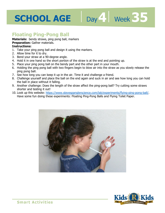# **Floating Ping-Pong Ball**

**Materials:** bendy straws, ping pong ball, markers

### **Preparation:** Gather materials.

#### **Instructions:**

- 1. Take your ping pong ball and design it using the markers.
- 2. Allow time for it to dry.
- 3. Bend your straw at a 90-degree angle.
- 4. Hold it in one hand so the short portion of the straw is at the end and pointing up.
- 5. Place your ping pong ball on the bendy part and the other part in your mouth.
- 6. Holding the ping pong ball with two fingers begin to blow air into the straw as you slowly release the ping pong ball.

Day 4 Week 35

- 7. See how long you can keep it up in the air. Time it and challenge a friend.
- 8. Challenge yourself and place the ball on the end again and suck in air and see how long you can hold the ball in place without it falling.
- 9. Another challenge: Does the length of the straw affect the ping-pong ball? Try cutting some straws shorter and testing it out!
- 10. Look up this website: https://www.stevespanglerscience.com/lab/experiments/flying-ping-pong-ball/. Have some fun doing these experiments: Floating Ping-Pong Balls and Flying Toilet Paper.